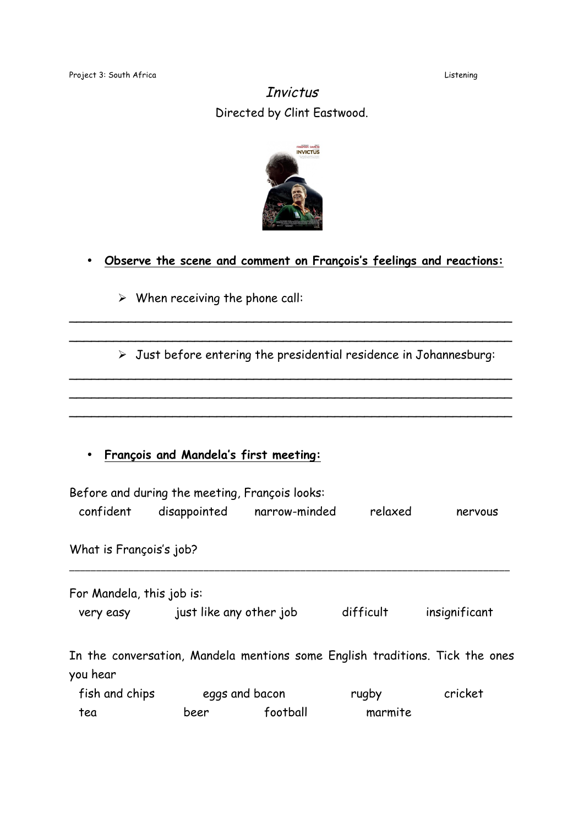## **Invictus** Directed by Clint Eastwood.



## • **Observe the scene and comment on François's feelings and reactions:**

\_\_\_\_\_\_\_\_\_\_\_\_\_\_\_\_\_\_\_\_\_\_\_\_\_\_\_\_\_\_\_\_\_\_\_\_\_\_\_\_\_\_\_\_\_\_\_\_\_\_\_\_\_\_\_\_\_\_\_\_ \_\_\_\_\_\_\_\_\_\_\_\_\_\_\_\_\_\_\_\_\_\_\_\_\_\_\_\_\_\_\_\_\_\_\_\_\_\_\_\_\_\_\_\_\_\_\_\_\_\_\_\_\_\_\_\_\_\_\_\_

\_\_\_\_\_\_\_\_\_\_\_\_\_\_\_\_\_\_\_\_\_\_\_\_\_\_\_\_\_\_\_\_\_\_\_\_\_\_\_\_\_\_\_\_\_\_\_\_\_\_\_\_\_\_\_\_\_\_\_\_ \_\_\_\_\_\_\_\_\_\_\_\_\_\_\_\_\_\_\_\_\_\_\_\_\_\_\_\_\_\_\_\_\_\_\_\_\_\_\_\_\_\_\_\_\_\_\_\_\_\_\_\_\_\_\_\_\_\_\_\_  $\sim$  . The contract of the contract of the contract of the contract of the contract of the contract of the contract of

## $\triangleright$  When receiving the phone call:

Just before entering the presidential residence in Johannesburg:

## • **François and Mandela's first meeting:**

| confident                 | Before and during the meeting, François looks: | disappointed narrow-minded                                                   | relaxed   | nervous       |
|---------------------------|------------------------------------------------|------------------------------------------------------------------------------|-----------|---------------|
| What is François's job?   |                                                |                                                                              |           |               |
| For Mandela, this job is: |                                                |                                                                              |           |               |
| very easy                 | just like any other job                        |                                                                              | difficult | insignificant |
| you hear                  |                                                | In the conversation, Mandela mentions some English traditions. Tick the ones |           |               |
| fish and chips            |                                                | eggs and bacon                                                               | rugby     | cricket       |
| tea                       | beer                                           | football                                                                     | marmite   |               |